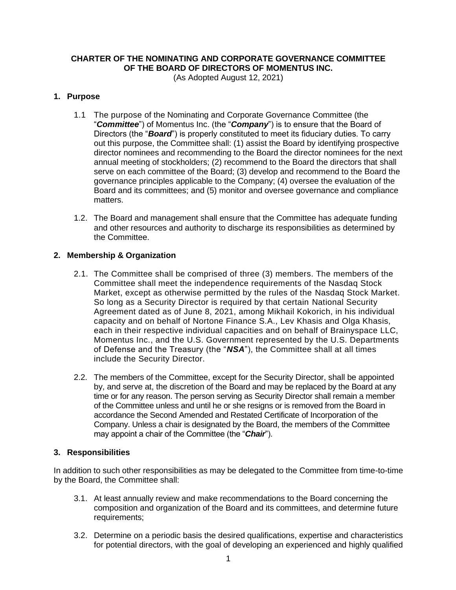# **CHARTER OF THE NOMINATING AND CORPORATE GOVERNANCE COMMITTEE OF THE BOARD OF DIRECTORS OF MOMENTUS INC.**

(As Adopted August 12, 2021)

## **1. Purpose**

- 1.1 The purpose of the Nominating and Corporate Governance Committee (the "*Committee*") of Momentus Inc. (the "*Company*") is to ensure that the Board of Directors (the "*Board*") is properly constituted to meet its fiduciary duties. To carry out this purpose, the Committee shall: (1) assist the Board by identifying prospective director nominees and recommending to the Board the director nominees for the next annual meeting of stockholders; (2) recommend to the Board the directors that shall serve on each committee of the Board; (3) develop and recommend to the Board the governance principles applicable to the Company; (4) oversee the evaluation of the Board and its committees; and (5) monitor and oversee governance and compliance matters.
- 1.2. The Board and management shall ensure that the Committee has adequate funding and other resources and authority to discharge its responsibilities as determined by the Committee.

## **2. Membership & Organization**

- 2.1. The Committee shall be comprised of three (3) members. The members of the Committee shall meet the independence requirements of the Nasdaq Stock Market, except as otherwise permitted by the rules of the Nasdaq Stock Market. So long as a Security Director is required by that certain National Security Agreement dated as of June 8, 2021, among Mikhail Kokorich, in his individual capacity and on behalf of Nortone Finance S.A., Lev Khasis and Olga Khasis, each in their respective individual capacities and on behalf of Brainyspace LLC, Momentus Inc., and the U.S. Government represented by the U.S. Departments of Defense and the Treasury (the "*NSA*"), the Committee shall at all times include the Security Director.
- 2.2. The members of the Committee, except for the Security Director, shall be appointed by, and serve at, the discretion of the Board and may be replaced by the Board at any time or for any reason. The person serving as Security Director shall remain a member of the Committee unless and until he or she resigns or is removed from the Board in accordance the Second Amended and Restated Certificate of Incorporation of the Company. Unless a chair is designated by the Board, the members of the Committee may appoint a chair of the Committee (the "*Chair*").

## **3. Responsibilities**

In addition to such other responsibilities as may be delegated to the Committee from time-to-time by the Board, the Committee shall:

- 3.1. At least annually review and make recommendations to the Board concerning the composition and organization of the Board and its committees, and determine future requirements;
- 3.2. Determine on a periodic basis the desired qualifications, expertise and characteristics for potential directors, with the goal of developing an experienced and highly qualified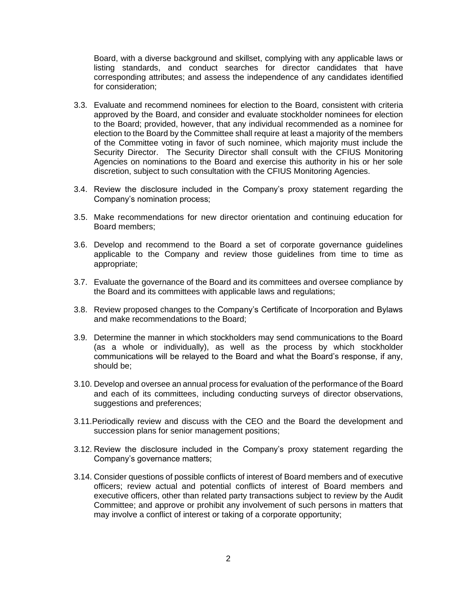Board, with a diverse background and skillset, complying with any applicable laws or listing standards, and conduct searches for director candidates that have corresponding attributes; and assess the independence of any candidates identified for consideration;

- 3.3. Evaluate and recommend nominees for election to the Board, consistent with criteria approved by the Board, and consider and evaluate stockholder nominees for election to the Board; provided, however, that any individual recommended as a nominee for election to the Board by the Committee shall require at least a majority of the members of the Committee voting in favor of such nominee, which majority must include the Security Director. The Security Director shall consult with the CFIUS Monitoring Agencies on nominations to the Board and exercise this authority in his or her sole discretion, subject to such consultation with the CFIUS Monitoring Agencies.
- 3.4. Review the disclosure included in the Company's proxy statement regarding the Company's nomination process;
- 3.5. Make recommendations for new director orientation and continuing education for Board members;
- 3.6. Develop and recommend to the Board a set of corporate governance guidelines applicable to the Company and review those guidelines from time to time as appropriate;
- 3.7. Evaluate the governance of the Board and its committees and oversee compliance by the Board and its committees with applicable laws and regulations;
- 3.8. Review proposed changes to the Company's Certificate of Incorporation and Bylaws and make recommendations to the Board;
- 3.9. Determine the manner in which stockholders may send communications to the Board (as a whole or individually), as well as the process by which stockholder communications will be relayed to the Board and what the Board's response, if any, should be;
- 3.10. Develop and oversee an annual process for evaluation of the performance of the Board and each of its committees, including conducting surveys of director observations, suggestions and preferences;
- 3.11.Periodically review and discuss with the CEO and the Board the development and succession plans for senior management positions;
- 3.12. Review the disclosure included in the Company's proxy statement regarding the Company's governance matters;
- 3.14. Consider questions of possible conflicts of interest of Board members and of executive officers; review actual and potential conflicts of interest of Board members and executive officers, other than related party transactions subject to review by the Audit Committee; and approve or prohibit any involvement of such persons in matters that may involve a conflict of interest or taking of a corporate opportunity;